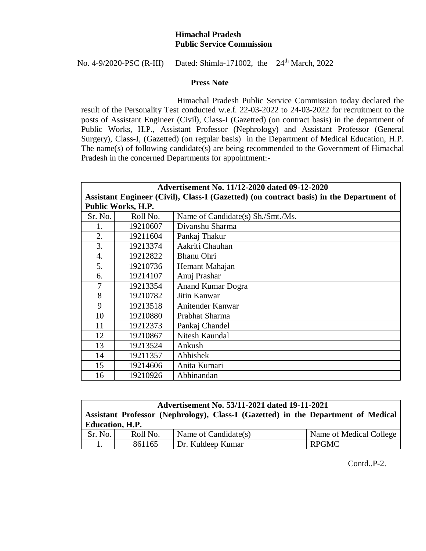## **Himachal Pradesh Public Service Commission**

No. 4-9/2020-PSC (R-III) Dated: Shimla-171002, the 24th March, 2022

## **Press Note**

 Himachal Pradesh Public Service Commission today declared the result of the Personality Test conducted w.e.f. 22-03-2022 to 24-03-2022 for recruitment to the posts of Assistant Engineer (Civil), Class-I (Gazetted) (on contract basis) in the department of Public Works, H.P., Assistant Professor (Nephrology) and Assistant Professor (General Surgery), Class-I, (Gazetted) (on regular basis) in the Department of Medical Education, H.P. The name(s) of following candidate(s) are being recommended to the Government of Himachal Pradesh in the concerned Departments for appointment:-

| Advertisement No. 11/12-2020 dated 09-12-2020                                           |          |                                   |  |  |  |
|-----------------------------------------------------------------------------------------|----------|-----------------------------------|--|--|--|
| Assistant Engineer (Civil), Class-I (Gazetted) (on contract basis) in the Department of |          |                                   |  |  |  |
| Public Works, H.P.                                                                      |          |                                   |  |  |  |
| Sr. No.                                                                                 | Roll No. | Name of Candidate(s) Sh./Smt./Ms. |  |  |  |
| 1.                                                                                      | 19210607 | Divanshu Sharma                   |  |  |  |
| 2.                                                                                      | 19211604 | Pankaj Thakur                     |  |  |  |
| 3.                                                                                      | 19213374 | Aakriti Chauhan                   |  |  |  |
| 4.                                                                                      | 19212822 | <b>Bhanu Ohri</b>                 |  |  |  |
| 5.                                                                                      | 19210736 | Hemant Mahajan                    |  |  |  |
| 6.                                                                                      | 19214107 | Anuj Prashar                      |  |  |  |
| 7                                                                                       | 19213354 | <b>Anand Kumar Dogra</b>          |  |  |  |
| 8                                                                                       | 19210782 | Jitin Kanwar                      |  |  |  |
| 9                                                                                       | 19213518 | Anitender Kanwar                  |  |  |  |
| 10                                                                                      | 19210880 | Prabhat Sharma                    |  |  |  |
| 11                                                                                      | 19212373 | Pankaj Chandel                    |  |  |  |
| 12                                                                                      | 19210867 | Nitesh Kaundal                    |  |  |  |
| 13                                                                                      | 19213524 | Ankush                            |  |  |  |
| 14                                                                                      | 19211357 | Abhishek                          |  |  |  |
| 15                                                                                      | 19214606 | Anita Kumari                      |  |  |  |
| 16                                                                                      | 19210926 | Abhinandan                        |  |  |  |

| Advertisement No. 53/11-2021 dated 19-11-2021                                     |          |                      |                         |  |  |  |  |
|-----------------------------------------------------------------------------------|----------|----------------------|-------------------------|--|--|--|--|
| Assistant Professor (Nephrology), Class-I (Gazetted) in the Department of Medical |          |                      |                         |  |  |  |  |
| <b>Education</b> , H.P.                                                           |          |                      |                         |  |  |  |  |
| Sr. No.                                                                           | Roll No. | Name of Candidate(s) | Name of Medical College |  |  |  |  |
|                                                                                   | 861165   | Dr. Kuldeep Kumar    | <b>RPGMC</b>            |  |  |  |  |

Contd..P-2.